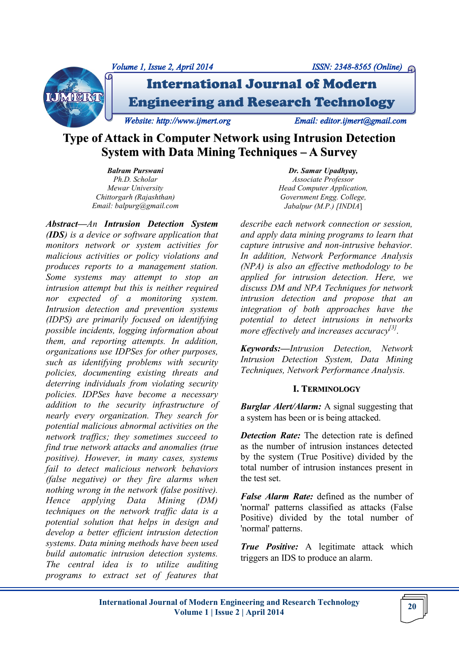



International Journal of Modern Engineering and Research Technology

*Website: http://www.ijmert.org Email: editor.ijmert@gmail.com* 

# **Type of Attack in Computer Network using Intrusion Detection System with Data Mining Techniques – A Survey**

*Balram Purswani Ph.D. Scholar Mewar University Chittorgarh (Rajashthan) Email: balpurg@gmail.com*

*Abstract—An Intrusion Detection System (IDS) is a device or software application that monitors network or system activities for malicious activities or policy violations and produces reports to a management station. Some systems may attempt to stop an intrusion attempt but this is neither required nor expected of a monitoring system. Intrusion detection and prevention systems (IDPS) are primarily focused on identifying possible incidents, logging information about them, and reporting attempts. In addition, organizations use IDPSes for other purposes, such as identifying problems with security policies, documenting existing threats and deterring individuals from violating security policies. IDPSes have become a necessary addition to the security infrastructure of nearly every organization. They search for potential malicious abnormal activities on the network traffics; they sometimes succeed to find true network attacks and anomalies (true positive). However, in many cases, systems fail to detect malicious network behaviors (false negative) or they fire alarms when nothing wrong in the network (false positive). Hence applying Data Mining (DM) techniques on the network traffic data is a potential solution that helps in design and develop a better efficient intrusion detection systems. Data mining methods have been used build automatic intrusion detection systems. The central idea is to utilize auditing programs to extract set of features that* 

*Dr. Samar Upadhyay, Associate Professor Head Computer Application, Government Engg. College, Jabalpur (M.P.) [INDIA*]

*describe each network connection or session, and apply data mining programs to learn that capture intrusive and non-intrusive behavior. In addition, Network Performance Analysis (NPA) is also an effective methodology to be applied for intrusion detection. Here, we discuss DM and NPA Techniques for network intrusion detection and propose that an integration of both approaches have the potential to detect intrusions in networks more effectively and increases accuracy*<sup>[3]</sup>.

*Keywords:—Intrusion Detection, Network Intrusion Detection System, Data Mining Techniques, Network Performance Analysis.*

## **I. TERMINOLOGY**

*Burglar Alert/Alarm:* A signal suggesting that a system has been or is being attacked.

*Detection Rate:* The detection rate is defined as the number of intrusion instances detected by the system (True Positive) divided by the total number of intrusion instances present in the test set.

*False Alarm Rate:* defined as the number of 'normal' patterns classified as attacks (False Positive) divided by the total number of 'normal' patterns.

*True Positive:* A legitimate attack which triggers an IDS to produce an alarm.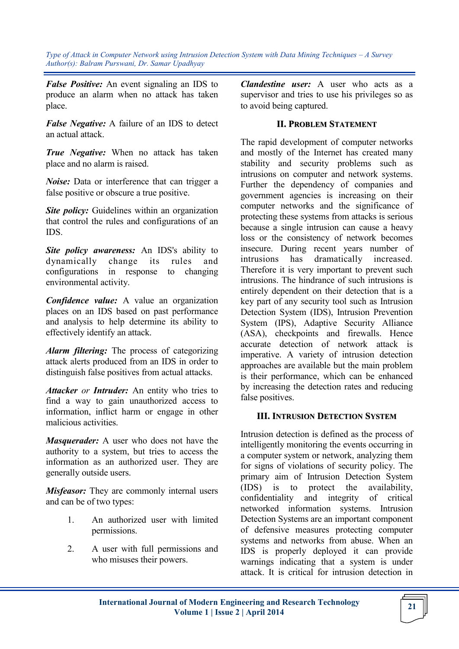*False Positive:* An event signaling an IDS to produce an alarm when no attack has taken place.

*False Negative:* A failure of an IDS to detect an actual attack.

*True Negative:* When no attack has taken place and no alarm is raised.

*Noise:* Data or interference that can trigger a false positive or obscure a true positive.

*Site policy:* Guidelines within an organization that control the rules and configurations of an IDS.

*Site policy awareness:* An IDS's ability to dynamically change its rules and configurations in response to changing environmental activity.

*Confidence value:* A value an organization places on an IDS based on past performance and analysis to help determine its ability to effectively identify an attack.

*Alarm filtering:* The process of categorizing attack alerts produced from an IDS in order to distinguish false positives from actual attacks.

*Attacker or Intruder:* An entity who tries to find a way to gain unauthorized access to information, inflict harm or engage in other malicious activities.

*Masquerader:* A user who does not have the authority to a system, but tries to access the information as an authorized user. They are generally outside users.

*Misfeasor:* They are commonly internal users and can be of two types:

- 1. An authorized user with limited permissions.
- 2. A user with full permissions and who misuses their powers.

*Clandestine user:* A user who acts as a supervisor and tries to use his privileges so as to avoid being captured.

## **II. PROBLEM STATEMENT**

The rapid development of computer networks and mostly of the Internet has created many stability and security problems such as intrusions on computer and network systems. Further the dependency of companies and government agencies is increasing on their computer networks and the significance of protecting these systems from attacks is serious because a single intrusion can cause a heavy loss or the consistency of network becomes insecure. During recent years number of intrusions has dramatically increased. Therefore it is very important to prevent such intrusions. The hindrance of such intrusions is entirely dependent on their detection that is a key part of any security tool such as Intrusion Detection System (IDS), Intrusion Prevention System (IPS), Adaptive Security Alliance (ASA), checkpoints and firewalls. Hence accurate detection of network attack is imperative. A variety of intrusion detection approaches are available but the main problem is their performance, which can be enhanced by increasing the detection rates and reducing false positives.

#### **III. INTRUSION DETECTION SYSTEM**

Intrusion detection is defined as the process of intelligently monitoring the events occurring in a computer system or network, analyzing them for signs of violations of security policy. The primary aim of Intrusion Detection System (IDS) is to protect the availability, confidentiality and integrity of critical networked information systems. Intrusion Detection Systems are an important component of defensive measures protecting computer systems and networks from abuse. When an IDS is properly deployed it can provide warnings indicating that a system is under attack. It is critical for intrusion detection in

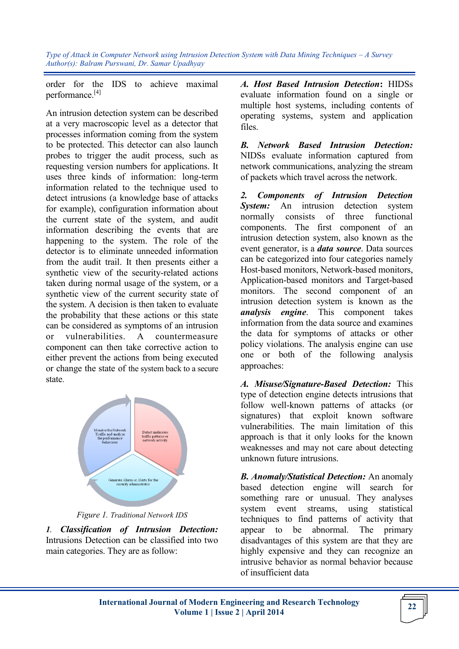order for the IDS to achieve maximal performance.[4]

An intrusion detection system can be described at a very macroscopic level as a detector that processes information coming from the system to be protected. This detector can also launch probes to trigger the audit process, such as requesting version numbers for applications. It uses three kinds of information: long-term information related to the technique used to detect intrusions (a knowledge base of attacks for example), configuration information about the current state of the system, and audit information describing the events that are happening to the system. The role of the detector is to eliminate unneeded information from the audit trail. It then presents either a synthetic view of the security-related actions taken during normal usage of the system, or a synthetic view of the current security state of the system. A decision is then taken to evaluate the probability that these actions or this state can be considered as symptoms of an intrusion or vulnerabilities. A countermeasure component can then take corrective action to either prevent the actions from being executed or change the state of the system back to a secure state.



*Figure 1. Traditional Network IDS*

*1. Classification of Intrusion Detection:*  Intrusions Detection can be classified into two main categories. They are as follow:

*A. Host Based Intrusion Detection***:** HIDSs evaluate information found on a single or multiple host systems, including contents of operating systems, system and application files.

*B. Network Based Intrusion Detection:*  NIDSs evaluate information captured from network communications, analyzing the stream of packets which travel across the network.

*2. Components of Intrusion Detection System:* An intrusion detection system normally consists of three functional components. The first component of an intrusion detection system, also known as the event generator, is a *data source*. Data sources can be categorized into four categories namely Host-based monitors, Network-based monitors, Application-based monitors and Target-based monitors. The second component of an intrusion detection system is known as the *analysis engine*. This component takes information from the data source and examines the data for symptoms of attacks or other policy violations. The analysis engine can use one or both of the following analysis approaches:

*A. Misuse/Signature-Based Detection:* This type of detection engine detects intrusions that follow well-known patterns of attacks (or signatures) that exploit known software vulnerabilities. The main limitation of this approach is that it only looks for the known weaknesses and may not care about detecting unknown future intrusions.

*B. Anomaly/Statistical Detection:* An anomaly based detection engine will search for something rare or unusual. They analyses system event streams, using statistical techniques to find patterns of activity that appear to be abnormal. The primary disadvantages of this system are that they are highly expensive and they can recognize an intrusive behavior as normal behavior because of insufficient data

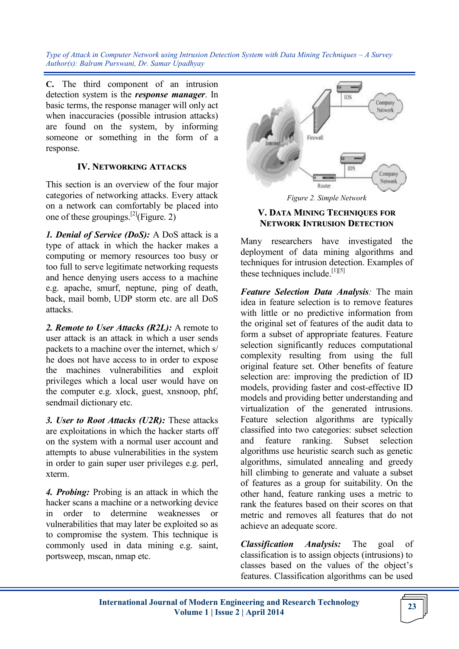**C.** The third component of an intrusion detection system is the *response manager*. In basic terms, the response manager will only act when inaccuracies (possible intrusion attacks) are found on the system, by informing someone or something in the form of a response.

#### **IV. NETWORKING ATTACKS**

This section is an overview of the four major categories of networking attacks. Every attack on a network can comfortably be placed into one of these groupings.<sup>[2]</sup>(Figure. 2)

*1. Denial of Service (DoS):* A DoS attack is a type of attack in which the hacker makes a computing or memory resources too busy or too full to serve legitimate networking requests and hence denying users access to a machine e.g. apache, smurf, neptune, ping of death, back, mail bomb, UDP storm etc. are all DoS attacks.

*2. Remote to User Attacks (R2L):* A remote to user attack is an attack in which a user sends packets to a machine over the internet, which s/ he does not have access to in order to expose the machines vulnerabilities and exploit privileges which a local user would have on the computer e.g. xlock, guest, xnsnoop, phf, sendmail dictionary etc.

*3. User to Root Attacks (U2R):* These attacks are exploitations in which the hacker starts off on the system with a normal user account and attempts to abuse vulnerabilities in the system in order to gain super user privileges e.g. perl, xterm.

*4. Probing:* Probing is an attack in which the hacker scans a machine or a networking device in order to determine weaknesses vulnerabilities that may later be exploited so as to compromise the system. This technique is commonly used in data mining e.g. saint, portsweep, mscan, nmap etc.



*Figure 2. Simple Network*

### **V. DATA MINING TECHNIQUES FOR NETWORK INTRUSION DETECTION**

Many researchers have investigated the deployment of data mining algorithms and techniques for intrusion detection. Examples of these techniques include.<sup>[1][5]</sup>

*Feature Selection Data Analysis:* The main idea in feature selection is to remove features with little or no predictive information from the original set of features of the audit data to form a subset of appropriate features. Feature selection significantly reduces computational complexity resulting from using the full original feature set. Other benefits of feature selection are: improving the prediction of ID models, providing faster and cost-effective ID models and providing better understanding and virtualization of the generated intrusions. Feature selection algorithms are typically classified into two categories: subset selection and feature ranking. Subset selection algorithms use heuristic search such as genetic algorithms, simulated annealing and greedy hill climbing to generate and valuate a subset of features as a group for suitability. On the other hand, feature ranking uses a metric to rank the features based on their scores on that metric and removes all features that do not achieve an adequate score.

*Classification Analysis:* The goal of classification is to assign objects (intrusions) to classes based on the values of the object's features. Classification algorithms can be used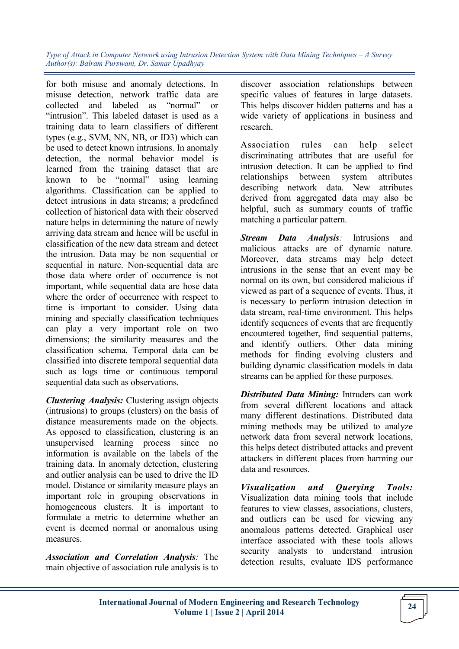for both misuse and anomaly detections. In misuse detection, network traffic data are collected and labeled as "normal" or "intrusion". This labeled dataset is used as a training data to learn classifiers of different types (e.g., SVM, NN, NB, or ID3) which can be used to detect known intrusions. In anomaly detection, the normal behavior model is learned from the training dataset that are known to be "normal" using learning algorithms. Classification can be applied to detect intrusions in data streams; a predefined collection of historical data with their observed nature helps in determining the nature of newly arriving data stream and hence will be useful in classification of the new data stream and detect the intrusion. Data may be non sequential or sequential in nature. Non-sequential data are those data where order of occurrence is not important, while sequential data are hose data where the order of occurrence with respect to time is important to consider. Using data mining and specially classification techniques can play a very important role on two dimensions; the similarity measures and the classification schema. Temporal data can be classified into discrete temporal sequential data such as logs time or continuous temporal sequential data such as observations.

*Clustering Analysis:* Clustering assign objects (intrusions) to groups (clusters) on the basis of distance measurements made on the objects. As opposed to classification, clustering is an unsupervised learning process since no information is available on the labels of the training data. In anomaly detection, clustering and outlier analysis can be used to drive the ID model. Distance or similarity measure plays an important role in grouping observations in homogeneous clusters. It is important to formulate a metric to determine whether an event is deemed normal or anomalous using measures.

*Association and Correlation Analysis:* The main objective of association rule analysis is to

discover association relationships between specific values of features in large datasets. This helps discover hidden patterns and has a wide variety of applications in business and research.

Association rules can help select discriminating attributes that are useful for intrusion detection. It can be applied to find relationships between system attributes describing network data. New attributes derived from aggregated data may also be helpful, such as summary counts of traffic matching a particular pattern.

*Stream Data Analysis:* Intrusions and malicious attacks are of dynamic nature. Moreover, data streams may help detect intrusions in the sense that an event may be normal on its own, but considered malicious if viewed as part of a sequence of events. Thus, it is necessary to perform intrusion detection in data stream, real-time environment. This helps identify sequences of events that are frequently encountered together, find sequential patterns, and identify outliers. Other data mining methods for finding evolving clusters and building dynamic classification models in data streams can be applied for these purposes.

*Distributed Data Mining:* Intruders can work from several different locations and attack many different destinations. Distributed data mining methods may be utilized to analyze network data from several network locations, this helps detect distributed attacks and prevent attackers in different places from harming our data and resources.

*Visualization and Querying Tools:* Visualization data mining tools that include features to view classes, associations, clusters, and outliers can be used for viewing any anomalous patterns detected. Graphical user interface associated with these tools allows security analysts to understand intrusion detection results, evaluate IDS performance